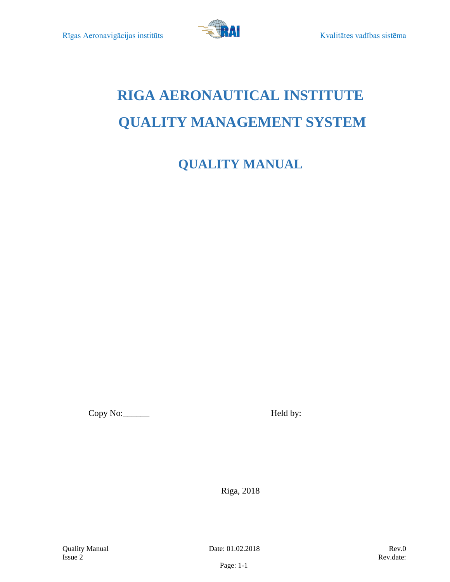

# **RIGA AERONAUTICAL INSTITUTE QUALITY MANAGEMENT SYSTEM**

**QUALITY MANUAL**

Copy No: \_\_\_\_\_\_\_\_ Held by:

Riga, 2018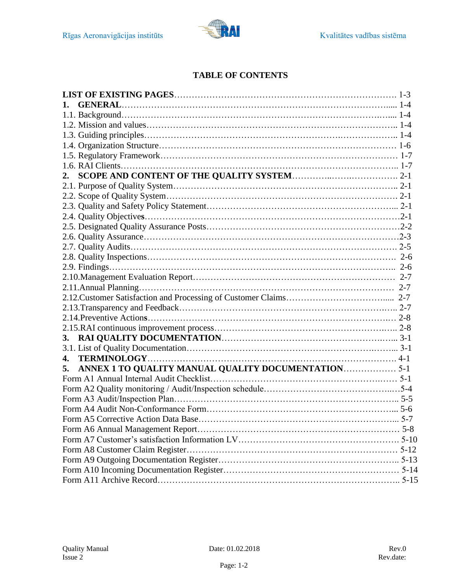

# **TABLE OF CONTENTS**

| 1.                                                        |  |
|-----------------------------------------------------------|--|
|                                                           |  |
|                                                           |  |
|                                                           |  |
|                                                           |  |
|                                                           |  |
|                                                           |  |
| 2.                                                        |  |
|                                                           |  |
|                                                           |  |
|                                                           |  |
|                                                           |  |
|                                                           |  |
|                                                           |  |
|                                                           |  |
|                                                           |  |
|                                                           |  |
|                                                           |  |
|                                                           |  |
|                                                           |  |
|                                                           |  |
|                                                           |  |
|                                                           |  |
| 3.                                                        |  |
|                                                           |  |
| 4.                                                        |  |
| ANNEX 1 TO QUALITY MANUAL QUALITY DOCUMENTATION 5-1<br>5. |  |
|                                                           |  |
|                                                           |  |
|                                                           |  |
|                                                           |  |
|                                                           |  |
|                                                           |  |
|                                                           |  |
|                                                           |  |
|                                                           |  |
|                                                           |  |
|                                                           |  |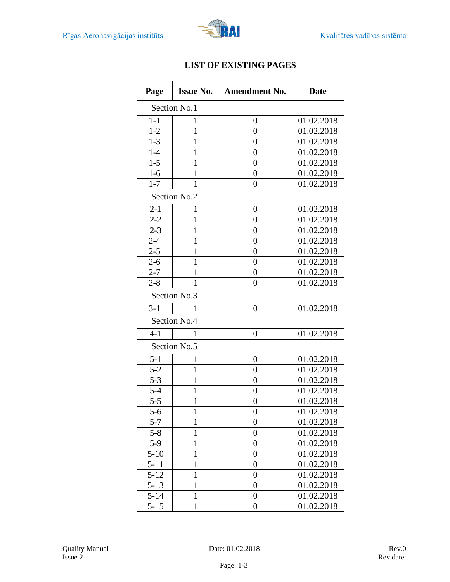

| Page     | <b>Issue No.</b> | <b>Amendment No.</b><br><b>Date</b> |            |  |  |
|----------|------------------|-------------------------------------|------------|--|--|
|          | Section No.1     |                                     |            |  |  |
| $1-1$    | 1                | $\boldsymbol{0}$                    | 01.02.2018 |  |  |
| $1 - 2$  | 1                | $\overline{0}$                      | 01.02.2018 |  |  |
| $1 - 3$  | 1                | $\overline{0}$                      | 01.02.2018 |  |  |
| $1-4$    | 1                | $\overline{0}$                      | 01.02.2018 |  |  |
| $1 - 5$  | 1                | $\overline{0}$                      | 01.02.2018 |  |  |
| $1-6$    | 1                | $\overline{0}$                      | 01.02.2018 |  |  |
| $1 - 7$  | 1                | $\overline{0}$                      | 01.02.2018 |  |  |
|          | Section No.2     |                                     |            |  |  |
| $2 - 1$  | 1                | 0                                   | 01.02.2018 |  |  |
| $2 - 2$  | $\mathbf 1$      | $\overline{0}$                      | 01.02.2018 |  |  |
| $2 - 3$  | 1                | $\overline{0}$                      | 01.02.2018 |  |  |
| $2 - 4$  | 1                | $\overline{0}$                      | 01.02.2018 |  |  |
| $2 - 5$  | 1                | $\boldsymbol{0}$                    | 01.02.2018 |  |  |
| $2 - 6$  | 1                | $\overline{0}$                      | 01.02.2018 |  |  |
| $2 - 7$  | 1                | $\overline{0}$                      | 01.02.2018 |  |  |
| $2 - 8$  | 1                | $\overline{0}$                      | 01.02.2018 |  |  |
|          | Section No.3     |                                     |            |  |  |
| $3 - 1$  | ı                | $\overline{0}$                      | 01.02.2018 |  |  |
|          | Section No.4     |                                     |            |  |  |
| $4 - 1$  | 1                | $\overline{0}$                      | 01.02.2018 |  |  |
|          | Section No.5     |                                     |            |  |  |
| $5 - 1$  | 1                | 0                                   | 01.02.2018 |  |  |
| $5 - 2$  | $\mathbf{1}$     | $\overline{0}$                      | 01.02.2018 |  |  |
| $5 - 3$  | 1                | $\overline{0}$                      | 01.02.2018 |  |  |
| $5 - 4$  | 1                | $\overline{0}$                      | 01.02.2018 |  |  |
| $5 - 5$  | $\mathbf{1}$     | 0                                   | 01.02.2018 |  |  |
| $5 - 6$  | $\mathbf{1}$     | $\boldsymbol{0}$                    | 01.02.2018 |  |  |
| $5 - 7$  | $\mathbf{1}$     | $\overline{0}$                      | 01.02.2018 |  |  |
| $5 - 8$  | 1                | $\boldsymbol{0}$                    | 01.02.2018 |  |  |
| $5-9$    | 1                | $\overline{0}$                      | 01.02.2018 |  |  |
| $5 - 10$ | $\mathbf{1}$     | $\boldsymbol{0}$                    | 01.02.2018 |  |  |
| $5 - 11$ | 1                | $\overline{0}$                      | 01.02.2018 |  |  |
| $5 - 12$ | 1                | $\overline{0}$                      | 01.02.2018 |  |  |
| $5 - 13$ | 1                | $\boldsymbol{0}$                    | 01.02.2018 |  |  |
| $5 - 14$ | $\mathbf{1}$     | 0                                   | 01.02.2018 |  |  |
| $5 - 15$ | $\mathbf{1}$     | $\boldsymbol{0}$                    | 01.02.2018 |  |  |

# **LIST OF EXISTING PAGES**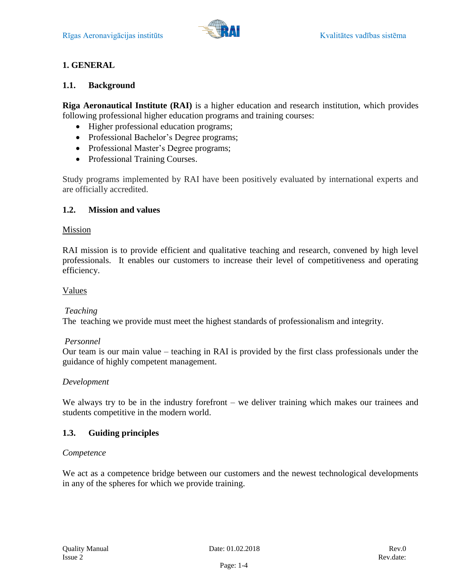

# **1. GENERAL**

## <span id="page-3-0"></span>**1.1. Background**

**Riga Aeronautical Institute (RAI)** is a higher education and research institution, which provides following professional higher education programs and training courses:

- Higher professional education programs;
- Professional Bachelor's Degree programs;
- Professional Master's Degree programs;
- Professional Training Courses.

Study programs implemented by RAI have been positively evaluated by international experts and are officially accredited.

#### <span id="page-3-1"></span>**1.2. Mission and values**

#### Mission

RAI mission is to provide efficient and qualitative teaching and research, convened by high level professionals. It enables our customers to increase their level of competitiveness and operating efficiency.

#### Values

#### *Teaching*

The teaching we provide must meet the highest standards of professionalism and integrity.

#### *Personnel*

Our team is our main value – teaching in RAI is provided by the first class professionals under the guidance of highly competent management.

#### *Development*

We always try to be in the industry forefront – we deliver training which makes our trainees and students competitive in the modern world.

# <span id="page-3-2"></span>**1.3. Guiding principles**

#### *Competence*

We act as a competence bridge between our customers and the newest technological developments in any of the spheres for which we provide training.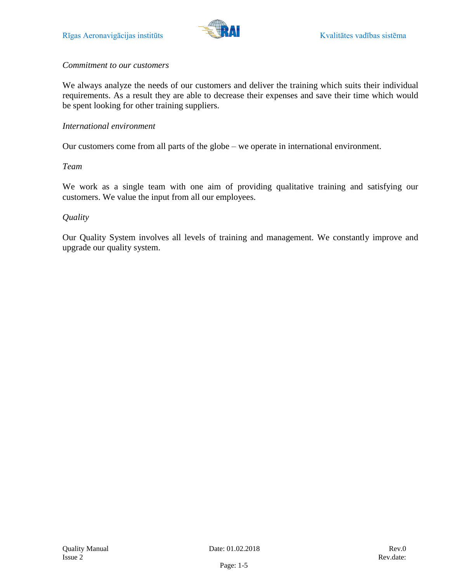

#### *Commitment to our customers*

We always analyze the needs of our customers and deliver the training which suits their individual requirements. As a result they are able to decrease their expenses and save their time which would be spent looking for other training suppliers.

#### *International environment*

Our customers come from all parts of the globe – we operate in international environment.

#### *Team*

We work as a single team with one aim of providing qualitative training and satisfying our customers. We value the input from all our employees.

#### *Quality*

Our Quality System involves all levels of training and management. We constantly improve and upgrade our quality system.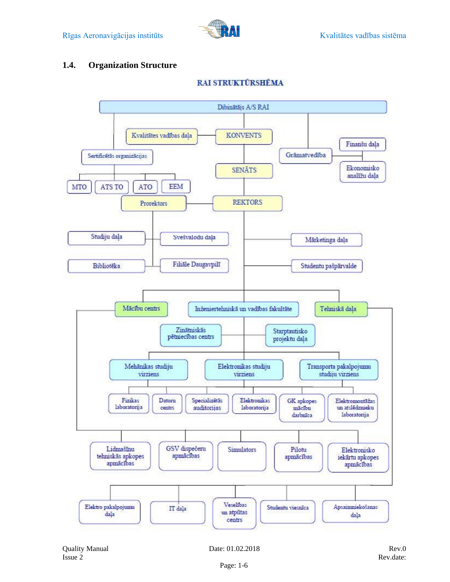

# <span id="page-5-0"></span>**1.4. Organization Structure**



**RAI STRUKTŪRSHĒMA**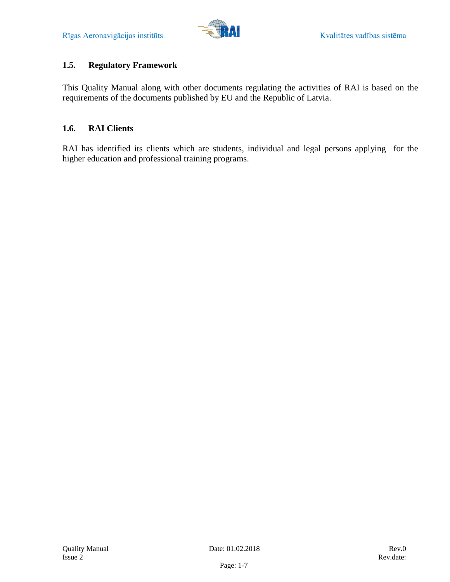# <span id="page-6-0"></span>**1.5. Regulatory Framework**

This Quality Manual along with other documents regulating the activities of RAI is based on the requirements of the documents published by EU and the Republic of Latvia.

## <span id="page-6-1"></span>**1.6. RAI Clients**

RAI has identified its clients which are students, individual and legal persons applying for the higher education and professional training programs.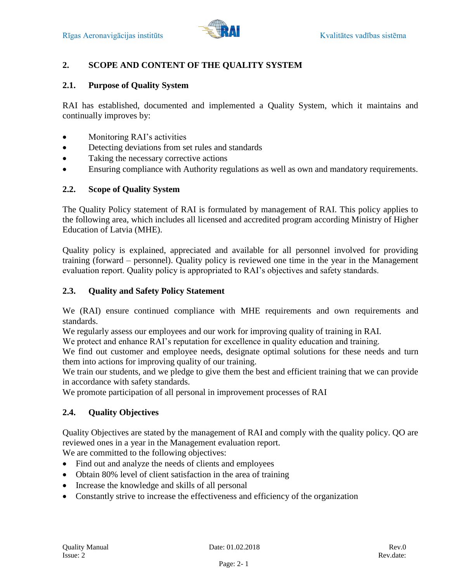

# <span id="page-7-0"></span>**2. SCOPE AND CONTENT OF THE QUALITY SYSTEM**

#### <span id="page-7-1"></span>**2.1. Purpose of Quality System**

RAI has established, documented and implemented a Quality System, which it maintains and continually improves by:

- Monitoring RAI's activities
- Detecting deviations from set rules and standards
- Taking the necessary corrective actions
- Ensuring compliance with Authority regulations as well as own and mandatory requirements.

#### <span id="page-7-2"></span>**2.2. Scope of Quality System**

The Quality Policy statement of RAI is formulated by management of RAI. This policy applies to the following area, which includes all licensed and accredited program according Ministry of Higher Education of Latvia (MHE).

Quality policy is explained, appreciated and available for all personnel involved for providing training (forward – personnel). Quality policy is reviewed one time in the year in the Management evaluation report. Quality policy is appropriated to RAI's objectives and safety standards.

#### <span id="page-7-3"></span>**2.3. Quality and Safety Policy Statement**

We (RAI) ensure continued compliance with MHE requirements and own requirements and standards.

We regularly assess our employees and our work for improving quality of training in RAI.

We protect and enhance RAI's reputation for excellence in quality education and training.

We find out customer and employee needs, designate optimal solutions for these needs and turn them into actions for improving quality of our training.

We train our students, and we pledge to give them the best and efficient training that we can provide in accordance with safety standards.

We promote participation of all personal in improvement processes of RAI

#### <span id="page-7-4"></span>**2.4. Quality Objectives**

Quality Objectives are stated by the management of RAI and comply with the quality policy. QO are reviewed ones in a year in the Management evaluation report.

We are committed to the following objectives:

- Find out and analyze the needs of clients and employees
- Obtain 80% level of client satisfaction in the area of training
- Increase the knowledge and skills of all personal
- Constantly strive to increase the effectiveness and efficiency of the organization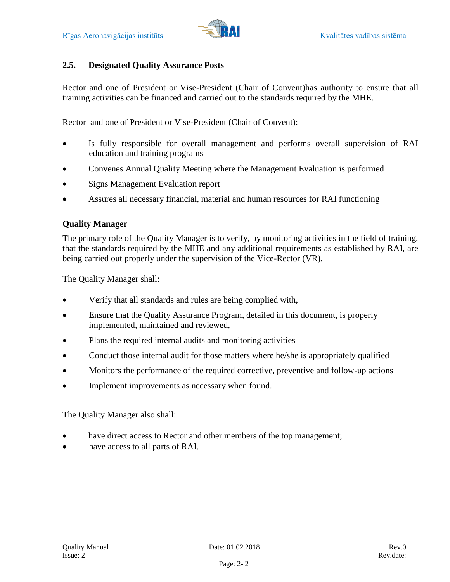

# <span id="page-8-0"></span>**2.5. Designated Quality Assurance Posts**

Rector and one of President or Vise-President (Chair of Convent)has authority to ensure that all training activities can be financed and carried out to the standards required by the MHE.

Rector and one of President or Vise-President (Chair of Convent):

- Is fully responsible for overall management and performs overall supervision of RAI education and training programs
- Convenes Annual Quality Meeting where the Management Evaluation is performed
- Signs Management Evaluation report
- Assures all necessary financial, material and human resources for RAI functioning

# **Quality Manager**

The primary role of the Quality Manager is to verify, by monitoring activities in the field of training, that the standards required by the MHE and any additional requirements as established by RAI, are being carried out properly under the supervision of the Vice-Rector (VR).

The Quality Manager shall:

- Verify that all standards and rules are being complied with,
- Ensure that the Quality Assurance Program, detailed in this document, is properly implemented, maintained and reviewed,
- Plans the required internal audits and monitoring activities
- Conduct those internal audit for those matters where he/she is appropriately qualified
- Monitors the performance of the required corrective, preventive and follow-up actions
- Implement improvements as necessary when found.

The Quality Manager also shall:

- have direct access to Rector and other members of the top management;
- have access to all parts of RAI.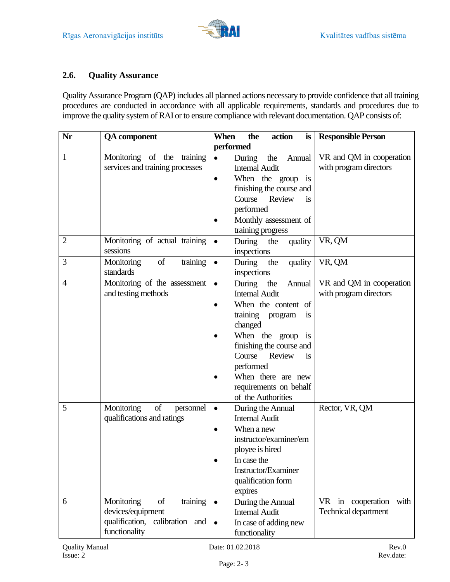

#### <span id="page-9-0"></span>**2.6. Quality Assurance**

Quality Assurance Program (QAP) includes all planned actions necessary to provide confidence that all training procedures are conducted in accordance with all applicable requirements, standards and procedures due to improve the quality system of RAI or to ensure compliance with relevant documentation. QAP consists of:

| Nr             | <b>QA</b> component                                                                                  | When<br>the<br>action<br>is                                                                                                                                                                                                                                                                                         | <b>Responsible Person</b>                            |
|----------------|------------------------------------------------------------------------------------------------------|---------------------------------------------------------------------------------------------------------------------------------------------------------------------------------------------------------------------------------------------------------------------------------------------------------------------|------------------------------------------------------|
|                |                                                                                                      | performed                                                                                                                                                                                                                                                                                                           |                                                      |
| $\mathbf{1}$   | Monitoring of the training<br>services and training processes                                        | the<br>During<br>Annual<br>$\bullet$<br><b>Internal Audit</b><br>When the group is<br>$\bullet$<br>finishing the course and<br>Review<br>Course<br>is<br>performed<br>Monthly assessment of<br>training progress                                                                                                    | VR and QM in cooperation<br>with program directors   |
| $\overline{2}$ | Monitoring of actual training<br>sessions                                                            | During<br>the<br>quality<br>$\bullet$<br>inspections                                                                                                                                                                                                                                                                | VR, QM                                               |
| 3              | Monitoring<br>of<br>training<br>standards                                                            | During<br>quality<br>the<br>$\bullet$<br>inspections                                                                                                                                                                                                                                                                | VR, QM                                               |
| $\overline{4}$ | Monitoring of the assessment<br>and testing methods                                                  | During<br>the<br>Annual<br>$\bullet$<br><b>Internal Audit</b><br>When the content of<br>$\bullet$<br>training program<br>1S<br>changed<br>When the group<br>$\overline{1}$<br>finishing the course and<br>Course<br>Review<br>is<br>performed<br>When there are new<br>requirements on behalf<br>of the Authorities | VR and QM in cooperation<br>with program directors   |
| 5              | Monitoring<br>of<br>personnel<br>qualifications and ratings                                          | During the Annual<br>$\bullet$<br><b>Internal Audit</b><br>When a new<br>$\bullet$<br>instructor/examiner/em<br>ployee is hired<br>In case the<br>Instructor/Examiner<br>qualification form<br>expires                                                                                                              | Rector, VR, QM                                       |
| 6              | Monitoring<br>of<br>training<br>devices/equipment<br>qualification, calibration and<br>functionality | During the Annual<br>$\bullet$<br><b>Internal Audit</b><br>In case of adding new<br>$\bullet$<br>functionality                                                                                                                                                                                                      | in cooperation<br>with<br>VR<br>Technical department |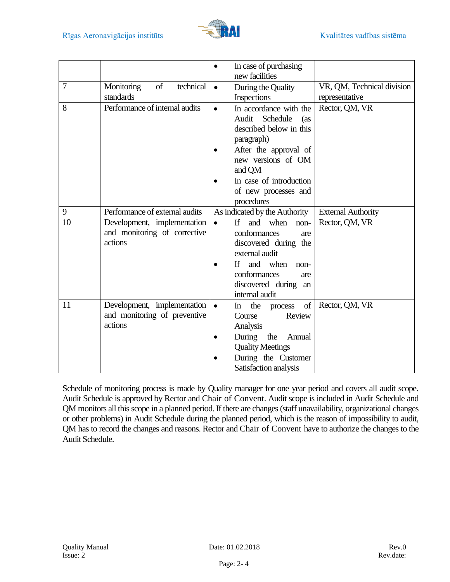

|    |                                                                        | In case of purchasing<br>$\bullet$<br>new facilities                                                                                                                                                                                |                                              |
|----|------------------------------------------------------------------------|-------------------------------------------------------------------------------------------------------------------------------------------------------------------------------------------------------------------------------------|----------------------------------------------|
| 7  | technical<br>of<br>Monitoring<br>standards                             | During the Quality<br>$\bullet$<br>Inspections                                                                                                                                                                                      | VR, QM, Technical division<br>representative |
| 8  | Performance of internal audits                                         | In accordance with the<br>$\bullet$<br>Audit<br>Schedule<br>(as)<br>described below in this<br>paragraph)<br>After the approval of<br>new versions of OM<br>and QM<br>In case of introduction<br>of new processes and<br>procedures | Rector, QM, VR                               |
| 9  | Performance of external audits                                         | As indicated by the Authority                                                                                                                                                                                                       | <b>External Authority</b>                    |
| 10 | Development, implementation<br>and monitoring of corrective<br>actions | $\mathbf{H}$<br>and<br>when<br>$\bullet$<br>non-<br>conformances<br>are<br>discovered during the<br>external audit<br>If and when<br>non-<br>conformances<br>are<br>discovered during an<br>internal audit                          | Rector, QM, VR                               |
| 11 | Development, implementation<br>and monitoring of preventive<br>actions | of<br>the process<br>$\bullet$<br>$\ln$<br>Review<br>Course<br>Analysis<br>During<br>the<br>Annual<br><b>Quality Meetings</b><br>During the Customer<br>Satisfaction analysis                                                       | Rector, QM, VR                               |

Schedule of monitoring process is made by Quality manager for one year period and covers all audit scope. Audit Schedule is approved by Rector and Chair of Convent. Audit scope is included in Audit Schedule and QM monitors all this scope in a planned period. If there are changes (staff unavailability, organizational changes or other problems) in Audit Schedule during the planned period, which is the reason of impossibility to audit, QM has to record the changes and reasons. Rector and Chair of Convent have to authorize the changes to the Audit Schedule.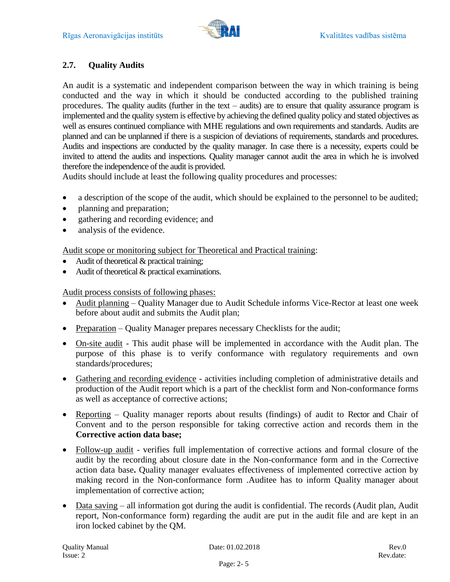# <span id="page-11-0"></span>**2.7. Quality Audits**

An audit is a systematic and independent comparison between the way in which training is being conducted and the way in which it should be conducted according to the published training procedures. The quality audits (further in the text – audits) are to ensure that quality assurance program is implemented and the quality system is effective by achieving the defined quality policy and stated objectives as well as ensures continued compliance with MHE regulations and own requirements and standards. Audits are planned and can be unplanned if there is a suspicion of deviations of requirements, standards and procedures. Audits and inspections are conducted by the quality manager. In case there is a necessity, experts could be invited to attend the audits and inspections. Quality manager cannot audit the area in which he is involved therefore the independence of the audit is provided.

Audits should include at least the following quality procedures and processes:

- a description of the scope of the audit, which should be explained to the personnel to be audited;
- planning and preparation;
- gathering and recording evidence; and
- analysis of the evidence.

Audit scope or monitoring subject for Theoretical and Practical training:

- Audit of theoretical & practical training;
- Audit of theoretical & practical examinations.

#### Audit process consists of following phases:

- Audit planning Quality Manager due to Audit Schedule informs Vice-Rector at least one week before about audit and submits the Audit plan;
- Preparation Quality Manager prepares necessary Checklists for the audit;
- On-site audit This audit phase will be implemented in accordance with the Audit plan. The purpose of this phase is to verify conformance with regulatory requirements and own standards/procedures;
- Gathering and recording evidence activities including completion of administrative details and production of the Audit report which is a part of the checklist form and Non-conformance forms as well as acceptance of corrective actions;
- Reporting Quality manager reports about results (findings) of audit to Rector and Chair of Convent and to the person responsible for taking corrective action and records them in the **Corrective action data base;**
- Follow-up audit verifies full implementation of corrective actions and formal closure of the audit by the recording about closure date in the Non-conformance form and in the Corrective action data base**.** Quality manager evaluates effectiveness of implemented corrective action by making record in the Non-conformance form .Auditee has to inform Quality manager about implementation of corrective action;
- Data saving all information got during the audit is confidential. The records (Audit plan, Audit report, Non-conformance form) regarding the audit are put in the audit file and are kept in an iron locked cabinet by the QM.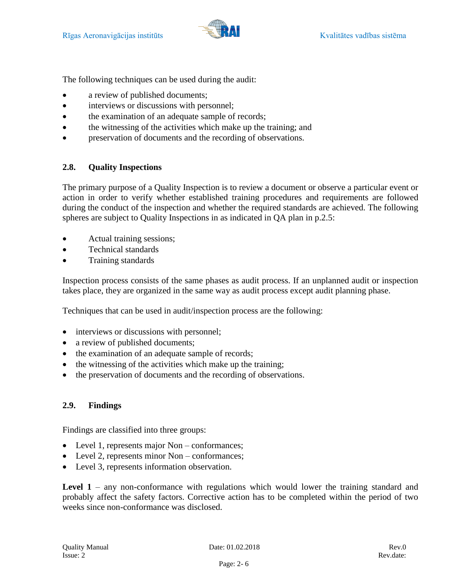

The following techniques can be used during the audit:

- a review of published documents;
- interviews or discussions with personnel;
- the examination of an adequate sample of records;
- the witnessing of the activities which make up the training; and
- preservation of documents and the recording of observations.

# <span id="page-12-0"></span>**2.8. Quality Inspections**

The primary purpose of a Quality Inspection is to review a document or observe a particular event or action in order to verify whether established training procedures and requirements are followed during the conduct of the inspection and whether the required standards are achieved. The following spheres are subject to Quality Inspections in as indicated in QA plan in p.2.5:

- Actual training sessions;
- Technical standards
- Training standards

Inspection process consists of the same phases as audit process. If an unplanned audit or inspection takes place, they are organized in the same way as audit process except audit planning phase.

Techniques that can be used in audit/inspection process are the following:

- interviews or discussions with personnel;
- a review of published documents;
- the examination of an adequate sample of records;
- the witnessing of the activities which make up the training;
- the preservation of documents and the recording of observations.

# <span id="page-12-1"></span>**2.9. Findings**

Findings are classified into three groups:

- Level 1, represents major Non conformances;
- Level 2, represents minor Non conformances;
- Level 3, represents information observation.

Level 1 – any non-conformance with regulations which would lower the training standard and probably affect the safety factors. Corrective action has to be completed within the period of two weeks since non-conformance was disclosed.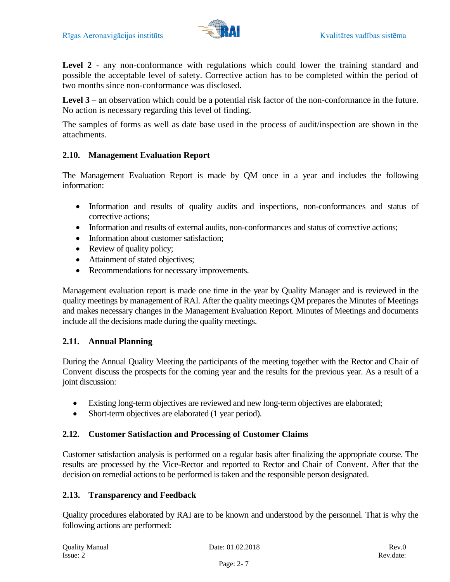

Level 2 - any non-conformance with regulations which could lower the training standard and possible the acceptable level of safety. Corrective action has to be completed within the period of two months since non-conformance was disclosed.

**Level 3** – an observation which could be a potential risk factor of the non-conformance in the future. No action is necessary regarding this level of finding.

The samples of forms as well as date base used in the process of audit/inspection are shown in the attachments.

#### <span id="page-13-0"></span>**2.10. Management Evaluation Report**

The Management Evaluation Report is made by QM once in a year and includes the following information:

- Information and results of quality audits and inspections, non-conformances and status of corrective actions;
- Information and results of external audits, non-conformances and status of corrective actions;
- Information about customer satisfaction:
- Review of quality policy;
- Attainment of stated objectives;
- Recommendations for necessary improvements.

Management evaluation report is made one time in the year by Quality Manager and is reviewed in the quality meetings by management of RAI. After the quality meetings QM prepares the Minutes of Meetings and makes necessary changes in the Management Evaluation Report. Minutes of Meetings and documents include all the decisions made during the quality meetings.

#### <span id="page-13-1"></span>**2.11. Annual Planning**

During the Annual Quality Meeting the participants of the meeting together with the Rector and Chair of Convent discuss the prospects for the coming year and the results for the previous year. As a result of a joint discussion:

- Existing long-term objectives are reviewed and new long-term objectives are elaborated;
- Short-term objectives are elaborated (1 year period).

# <span id="page-13-2"></span>**2.12. Customer Satisfaction and Processing of Customer Claims**

Customer satisfaction analysis is performed on a regular basis after finalizing the appropriate course. The results are processed by the Vice-Rector and reported to Rector and Chair of Convent. After that the decision on remedial actions to be performed is taken and the responsible person designated.

# <span id="page-13-3"></span>**2.13. Transparency and Feedback**

Quality procedures elaborated by RAI are to be known and understood by the personnel. That is why the following actions are performed: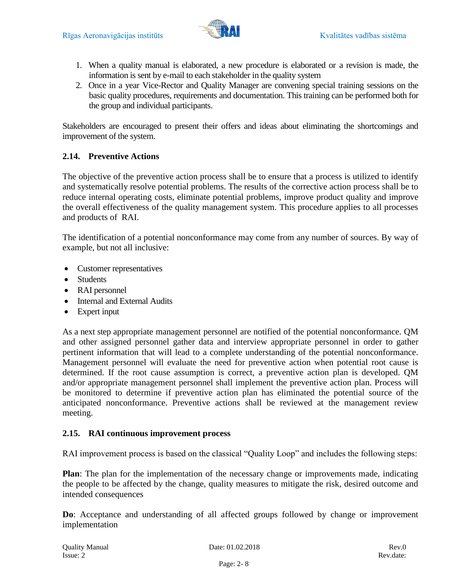

- 1. When a quality manual is elaborated, a new procedure is elaborated or a revision is made, the information is sent by e-mail to each stakeholder in the quality system
- 2. Once in a year Vice-Rector and Quality Manager are convening special training sessions on the basic quality procedures, requirements and documentation. This training can be performed both for the group and individual participants.

Stakeholders are encouraged to present their offers and ideas about eliminating the shortcomings and improvement of the system.

#### <span id="page-14-0"></span>**2.14. Preventive Actions**

The objective of the preventive action process shall be to ensure that a process is utilized to identify and systematically resolve potential problems. The results of the corrective action process shall be to reduce internal operating costs, eliminate potential problems, improve product quality and improve the overall effectiveness of the quality management system. This procedure applies to all processes and products of RAI.

The identification of a potential nonconformance may come from any number of sources. By way of example, but not all inclusive:

- Customer representatives
- Students
- RAI personnel
- Internal and External Audits
- Expert input

As a next step appropriate management personnel are notified of the potential nonconformance. QM and other assigned personnel gather data and interview appropriate personnel in order to gather pertinent information that will lead to a complete understanding of the potential nonconformance. Management personnel will evaluate the need for preventive action when potential root cause is determined. If the root cause assumption is correct, a preventive action plan is developed. QM and/or appropriate management personnel shall implement the preventive action plan. Process will be monitored to determine if preventive action plan has eliminated the potential source of the anticipated nonconformance. Preventive actions shall be reviewed at the management review meeting.

# <span id="page-14-1"></span>**2.15. RAI continuous improvement process**

RAI improvement process is based on the classical "Quality Loop" and includes the following steps:

**Plan**: The plan for the implementation of the necessary change or improvements made, indicating the people to be affected by the change, quality measures to mitigate the risk, desired outcome and intended consequences

**Do**: Acceptance and understanding of all affected groups followed by change or improvement implementation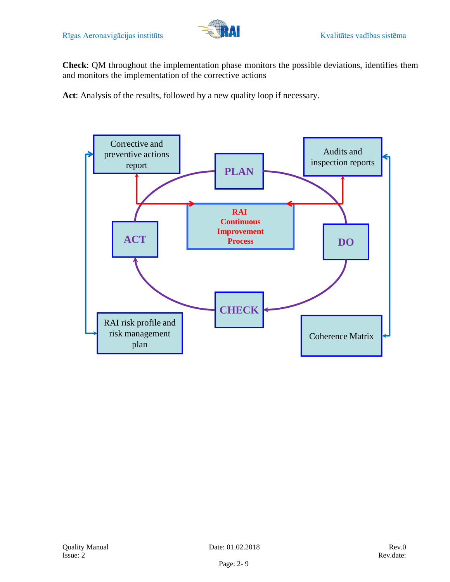

**Check**: QM throughout the implementation phase monitors the possible deviations, identifies them and monitors the implementation of the corrective actions

**Act**: Analysis of the results, followed by a new quality loop if necessary.

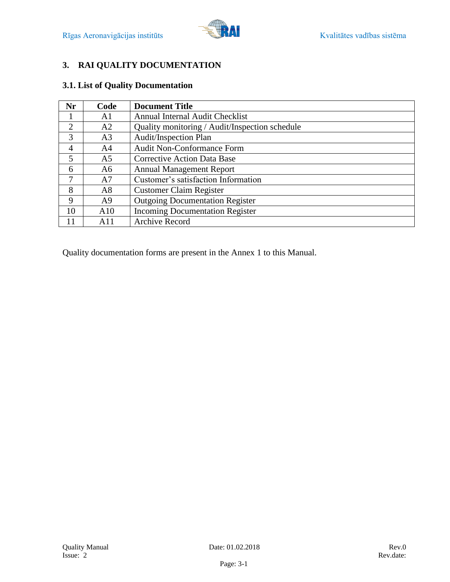

# <span id="page-16-0"></span>**3. RAI QUALITY DOCUMENTATION**

# <span id="page-16-1"></span>**3.1. List of Quality Documentation**

| Nr             | Code           | <b>Document Title</b>                          |
|----------------|----------------|------------------------------------------------|
|                | A1             | Annual Internal Audit Checklist                |
| $\overline{2}$ | A2             | Quality monitoring / Audit/Inspection schedule |
| 3              | A <sub>3</sub> | <b>Audit/Inspection Plan</b>                   |
| $\overline{4}$ | A4             | <b>Audit Non-Conformance Form</b>              |
| 5              | A5             | <b>Corrective Action Data Base</b>             |
| 6              | A6             | <b>Annual Management Report</b>                |
| 7              | A7             | Customer's satisfaction Information            |
| 8              | A8             | <b>Customer Claim Register</b>                 |
| 9              | A <sub>9</sub> | <b>Outgoing Documentation Register</b>         |
| 10             | A10            | <b>Incoming Documentation Register</b>         |
| 11             | A11            | <b>Archive Record</b>                          |

Quality documentation forms are present in the Annex 1 to this Manual.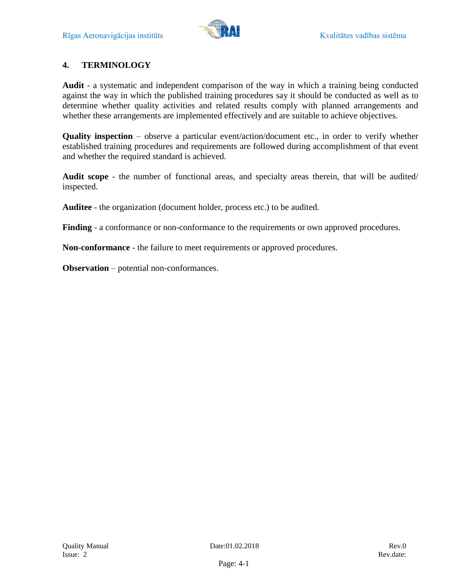

# <span id="page-17-0"></span>**4. TERMINOLOGY**

**Audit** - a systematic and independent comparison of the way in which a training being conducted against the way in which the published training procedures say it should be conducted as well as to determine whether quality activities and related results comply with planned arrangements and whether these arrangements are implemented effectively and are suitable to achieve objectives.

**Quality inspection** – observe a particular event/action/document etc., in order to verify whether established training procedures and requirements are followed during accomplishment of that event and whether the required standard is achieved.

**Audit scope** - the number of functional areas, and specialty areas therein, that will be audited/ inspected.

**Auditee** - the organization (document holder, process etc.) to be audited.

**Finding** - a conformance or non-conformance to the requirements or own approved procedures.

**Non-conformance** - the failure to meet requirements or approved procedures.

**Observation** – potential non-conformances.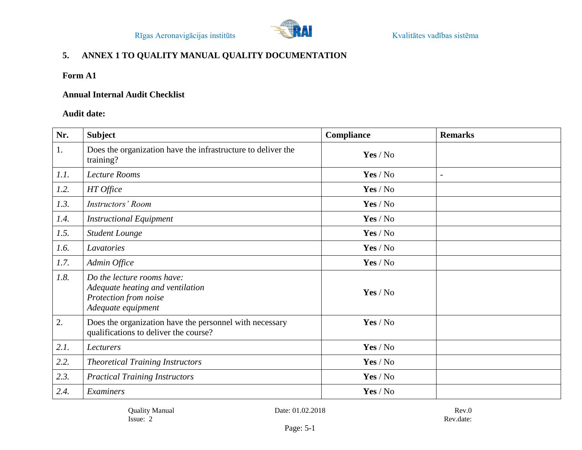

# **5. ANNEX 1 TO QUALITY MANUAL QUALITY DOCUMENTATION**

# **Form A1**

#### **Annual Internal Audit Checklist**

# **Audit date:**

<span id="page-18-0"></span>

| Nr.  | <b>Subject</b>                                                                                                | Compliance | <b>Remarks</b>           |
|------|---------------------------------------------------------------------------------------------------------------|------------|--------------------------|
| 1.   | Does the organization have the infrastructure to deliver the<br>training?                                     | Yes / No   |                          |
| 1.1. | Lecture Rooms                                                                                                 | Yes / No   | $\overline{\phantom{0}}$ |
| 1.2. | HT Office                                                                                                     | Yes / No   |                          |
| 1.3. | <b>Instructors' Room</b>                                                                                      | Yes / No   |                          |
| 1.4. | <b>Instructional Equipment</b>                                                                                | Yes / No   |                          |
| 1.5. | <b>Student Lounge</b>                                                                                         | Yes / No   |                          |
| 1.6. | Lavatories                                                                                                    | Yes / No   |                          |
| 1.7. | Admin Office                                                                                                  | Yes / No   |                          |
| 1.8. | Do the lecture rooms have:<br>Adequate heating and ventilation<br>Protection from noise<br>Adequate equipment | Yes / No   |                          |
| 2.   | Does the organization have the personnel with necessary<br>qualifications to deliver the course?              | Yes / No   |                          |
| 2.1. | Lecturers                                                                                                     | Yes / No   |                          |
| 2.2. | <b>Theoretical Training Instructors</b>                                                                       | Yes / No   |                          |
| 2.3. | <b>Practical Training Instructors</b>                                                                         | Yes / No   |                          |
| 2.4. | Examiners                                                                                                     | Yes / No   |                          |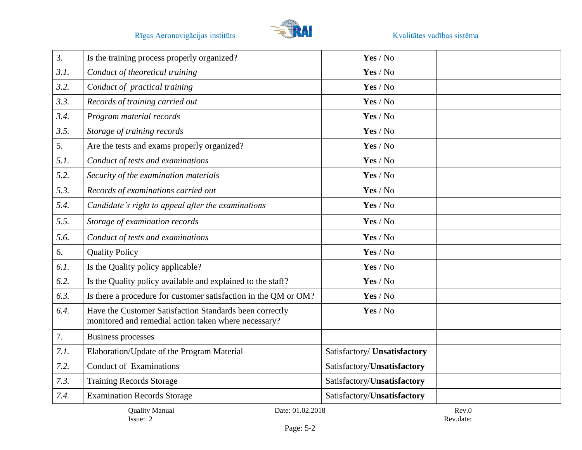

| 3.   | Is the training process properly organized?                                                                     | Yes / No                     |  |
|------|-----------------------------------------------------------------------------------------------------------------|------------------------------|--|
| 3.1. | Conduct of theoretical training                                                                                 | Yes / No                     |  |
| 3.2. | Conduct of practical training                                                                                   | Yes / No                     |  |
| 3.3. | Records of training carried out                                                                                 | Yes / No                     |  |
| 3.4. | Program material records                                                                                        | Yes / No                     |  |
| 3.5. | Storage of training records                                                                                     | Yes / No                     |  |
| 5.   | Are the tests and exams properly organized?                                                                     | Yes / No                     |  |
| 5.1. | Conduct of tests and examinations                                                                               | Yes / No                     |  |
| 5.2. | Security of the examination materials                                                                           | Yes / No                     |  |
| 5.3. | Records of examinations carried out                                                                             | Yes / No                     |  |
| 5.4. | Candidate's right to appeal after the examinations                                                              | Yes / No                     |  |
| 5.5. | Storage of examination records                                                                                  | Yes / No                     |  |
| 5.6. | Conduct of tests and examinations                                                                               | Yes / No                     |  |
| 6.   | <b>Quality Policy</b>                                                                                           | Yes / No                     |  |
| 6.1. | Is the Quality policy applicable?                                                                               | Yes / No                     |  |
| 6.2. | Is the Quality policy available and explained to the staff?                                                     | Yes / No                     |  |
| 6.3. | Is there a procedure for customer satisfaction in the QM or OM?                                                 | Yes / No                     |  |
| 6.4. | Have the Customer Satisfaction Standards been correctly<br>monitored and remedial action taken where necessary? | Yes / No                     |  |
| 7.   | <b>Business processes</b>                                                                                       |                              |  |
| 7.1. | Elaboration/Update of the Program Material                                                                      | Satisfactory/ Unsatisfactory |  |
| 7.2. | <b>Conduct of Examinations</b>                                                                                  | Satisfactory/Unsatisfactory  |  |
| 7.3. | <b>Training Records Storage</b>                                                                                 | Satisfactory/Unsatisfactory  |  |
| 7.4. | <b>Examination Records Storage</b>                                                                              | Satisfactory/Unsatisfactory  |  |
|      | <b>Quality Manual</b><br>Date: 01.02.2018                                                                       | Rev.0                        |  |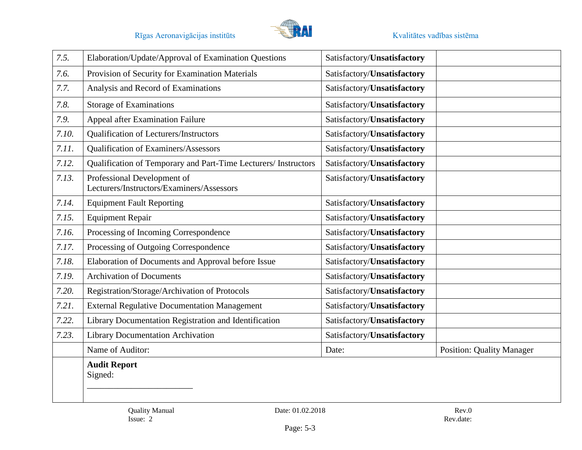

| 7.5.  | Elaboration/Update/Approval of Examination Questions                     | Satisfactory/Unsatisfactory |                                  |
|-------|--------------------------------------------------------------------------|-----------------------------|----------------------------------|
| 7.6.  | Provision of Security for Examination Materials                          | Satisfactory/Unsatisfactory |                                  |
| 7.7.  | Analysis and Record of Examinations                                      | Satisfactory/Unsatisfactory |                                  |
| 7.8.  | <b>Storage of Examinations</b>                                           | Satisfactory/Unsatisfactory |                                  |
| 7.9.  | Appeal after Examination Failure                                         | Satisfactory/Unsatisfactory |                                  |
| 7.10. | Qualification of Lecturers/Instructors                                   | Satisfactory/Unsatisfactory |                                  |
| 7.11. | Qualification of Examiners/Assessors                                     | Satisfactory/Unsatisfactory |                                  |
| 7.12. | Qualification of Temporary and Part-Time Lecturers/ Instructors          | Satisfactory/Unsatisfactory |                                  |
| 7.13. | Professional Development of<br>Lecturers/Instructors/Examiners/Assessors | Satisfactory/Unsatisfactory |                                  |
| 7.14. | <b>Equipment Fault Reporting</b>                                         | Satisfactory/Unsatisfactory |                                  |
| 7.15. | <b>Equipment Repair</b>                                                  | Satisfactory/Unsatisfactory |                                  |
| 7.16. | Processing of Incoming Correspondence                                    | Satisfactory/Unsatisfactory |                                  |
| 7.17. | Processing of Outgoing Correspondence                                    | Satisfactory/Unsatisfactory |                                  |
| 7.18. | Elaboration of Documents and Approval before Issue                       | Satisfactory/Unsatisfactory |                                  |
| 7.19. | <b>Archivation of Documents</b>                                          | Satisfactory/Unsatisfactory |                                  |
| 7.20. | Registration/Storage/Archivation of Protocols                            | Satisfactory/Unsatisfactory |                                  |
| 7.21. | <b>External Regulative Documentation Management</b>                      | Satisfactory/Unsatisfactory |                                  |
| 7.22. | Library Documentation Registration and Identification                    | Satisfactory/Unsatisfactory |                                  |
| 7.23. | <b>Library Documentation Archivation</b>                                 | Satisfactory/Unsatisfactory |                                  |
|       | Name of Auditor:                                                         | Date:                       | <b>Position: Quality Manager</b> |
|       | <b>Audit Report</b><br>Signed:                                           |                             |                                  |
|       | Date: 01.02.2018<br><b>Quality Manual</b><br>Issue: 2                    |                             | Rev.0<br>Rev.date:               |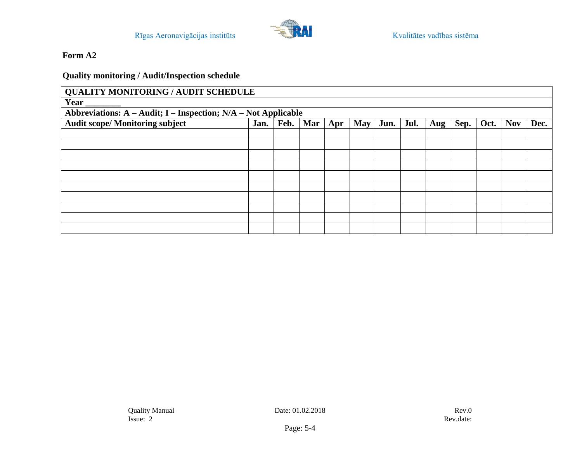# **Quality monitoring / Audit/Inspection schedule**

| <b>QUALITY MONITORING / AUDIT SCHEDULE</b>                     |      |      |     |     |            |      |      |     |      |      |            |      |
|----------------------------------------------------------------|------|------|-----|-----|------------|------|------|-----|------|------|------------|------|
| Year                                                           |      |      |     |     |            |      |      |     |      |      |            |      |
| Abbreviations: A - Audit; I - Inspection; N/A - Not Applicable |      |      |     |     |            |      |      |     |      |      |            |      |
| <b>Audit scope/ Monitoring subject</b>                         | Jan. | Feb. | Mar | Apr | <b>May</b> | Jun. | Jul. | Aug | Sep. | Oct. | <b>Nov</b> | Dec. |
|                                                                |      |      |     |     |            |      |      |     |      |      |            |      |
|                                                                |      |      |     |     |            |      |      |     |      |      |            |      |
|                                                                |      |      |     |     |            |      |      |     |      |      |            |      |
|                                                                |      |      |     |     |            |      |      |     |      |      |            |      |
|                                                                |      |      |     |     |            |      |      |     |      |      |            |      |
|                                                                |      |      |     |     |            |      |      |     |      |      |            |      |
|                                                                |      |      |     |     |            |      |      |     |      |      |            |      |
|                                                                |      |      |     |     |            |      |      |     |      |      |            |      |
|                                                                |      |      |     |     |            |      |      |     |      |      |            |      |
|                                                                |      |      |     |     |            |      |      |     |      |      |            |      |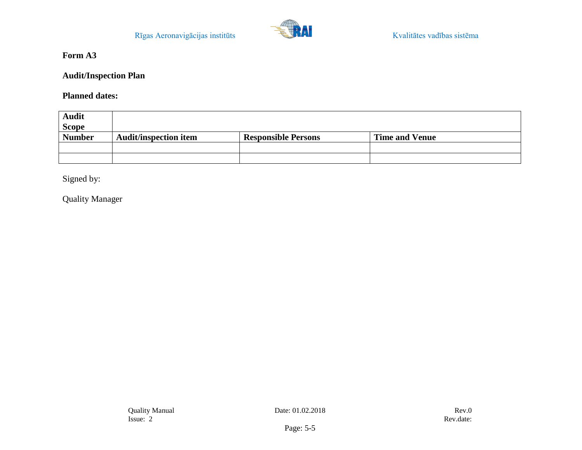

**Audit/Inspection Plan** 

**Planned dates:** 

| <b>Audit</b><br><b>Scope</b> |                              |                            |                       |
|------------------------------|------------------------------|----------------------------|-----------------------|
| <b>Number</b>                | <b>Audit/inspection item</b> | <b>Responsible Persons</b> | <b>Time and Venue</b> |
|                              |                              |                            |                       |
|                              |                              |                            |                       |

Signed by:

Quality Manager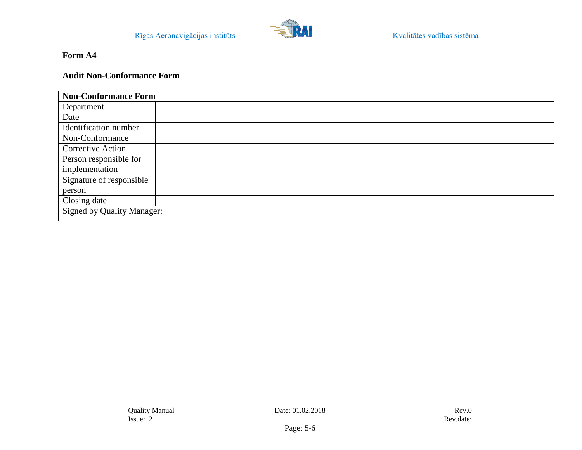

# **Audit Non-Conformance Form**

| <b>Non-Conformance Form</b>       |  |
|-----------------------------------|--|
| Department                        |  |
| Date                              |  |
| Identification number             |  |
| Non-Conformance                   |  |
| <b>Corrective Action</b>          |  |
| Person responsible for            |  |
| implementation                    |  |
| Signature of responsible          |  |
| person                            |  |
| Closing date                      |  |
| <b>Signed by Quality Manager:</b> |  |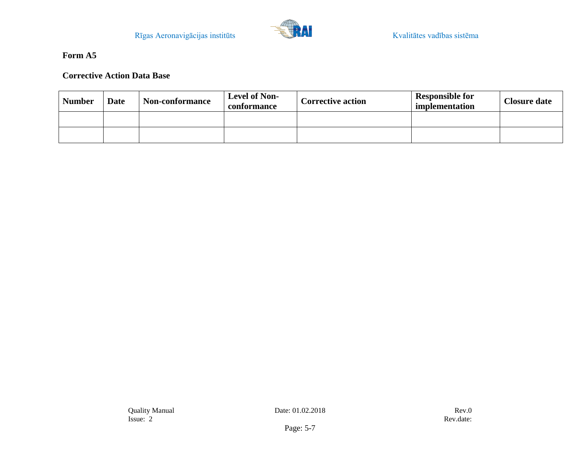

# **Corrective Action Data Base**

| <b>Number</b> | <b>Date</b> | <b>Non-conformance</b> | <b>Level of Non-</b><br>conformance | <b>Corrective action</b> | <b>Responsible for</b><br>implementation | <b>Closure date</b> |
|---------------|-------------|------------------------|-------------------------------------|--------------------------|------------------------------------------|---------------------|
|               |             |                        |                                     |                          |                                          |                     |
|               |             |                        |                                     |                          |                                          |                     |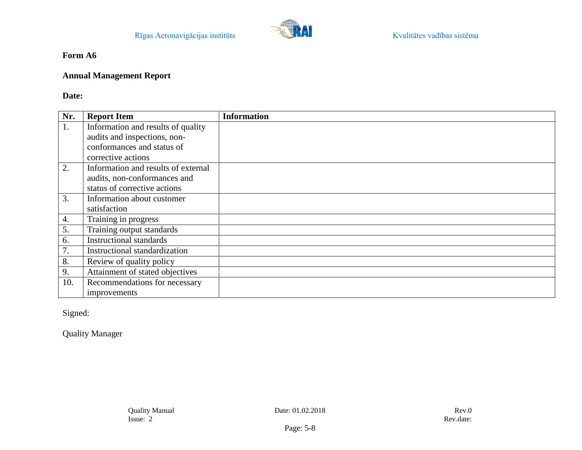

## **Annual Management Report**

# **Date:**

| Nr. | <b>Report Item</b>                  | <b>Information</b> |
|-----|-------------------------------------|--------------------|
| 1.  | Information and results of quality  |                    |
|     | audits and inspections, non-        |                    |
|     | conformances and status of          |                    |
|     | corrective actions                  |                    |
| 2.  | Information and results of external |                    |
|     | audits, non-conformances and        |                    |
|     | status of corrective actions        |                    |
| 3.  | Information about customer          |                    |
|     | satisfaction                        |                    |
| 4.  | Training in progress                |                    |
| 5.  | Training output standards           |                    |
| 6.  | <b>Instructional standards</b>      |                    |
| 7.  | Instructional standardization       |                    |
| 8.  | Review of quality policy            |                    |
| 9.  | Attainment of stated objectives     |                    |
| 10. | Recommendations for necessary       |                    |
|     | improvements                        |                    |

Signed:

Quality Manager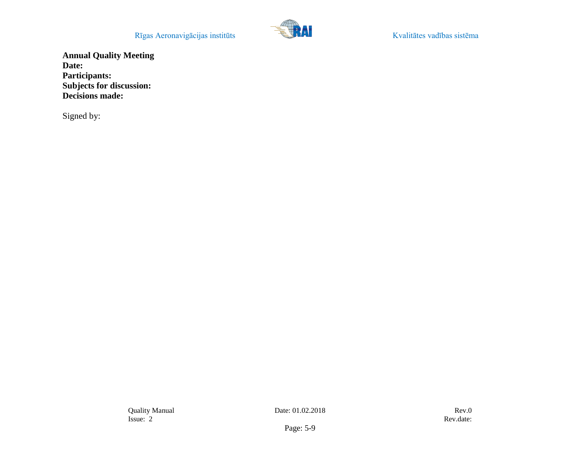Rīgas Aeronavigācijas institūts **Kvalitātes vadības sistēma** 



**Annual Quality Meeting Date: Participants: Subjects for discussion: Decisions made:**

Signed by: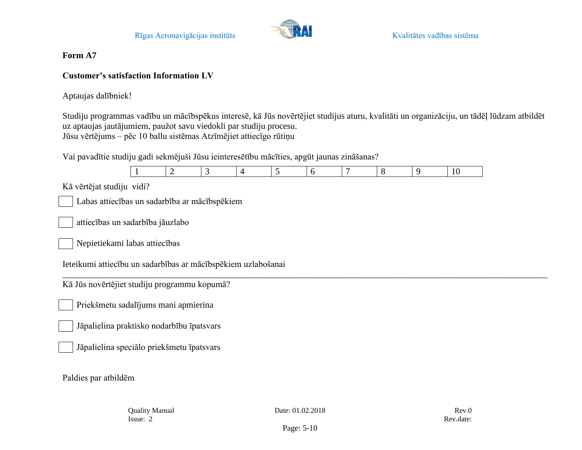

# **Customer's satisfaction Information LV**

Aptaujas dalībniek!

Studiju programmas vadību un mācībspēkus interesē, kā Jūs novērtējiet studijus aturu, kvalitāti un organizāciju, un tādēļ lūdzam atbildēt uz aptaujas jautājumiem, paužot savu viedokli par studiju procesu. Jūsu vērtējums – pēc 10 ballu sistēmas Atzīmējiet attiecīgo rūtiņu

Vai pavadītie studiju gadi sekmējuši Jūsu ieinteresētību mācīties, apgūt jaunas zināšanas?



Jāpalielina speciālo priekšmetu īpatsvars

Paldies par atbildēm

Quality Manual Date: 01.02.2018 Rev.0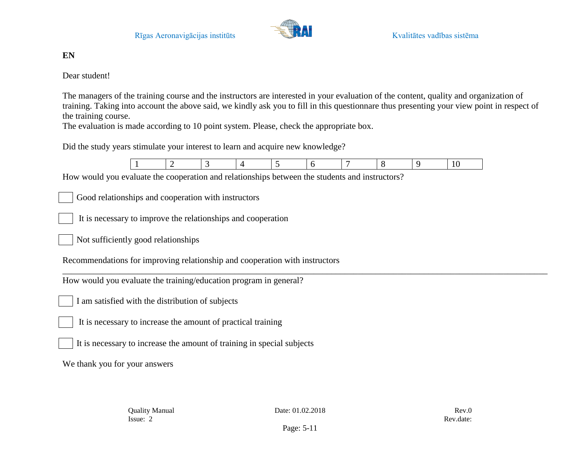

# **EN**

Dear student!

The managers of the training course and the instructors are interested in your evaluation of the content, quality and organization of training. Taking into account the above said, we kindly ask you to fill in this questionnare thus presenting your view point in respect of the training course.

The evaluation is made according to 10 point system. Please, check the appropriate box.

Did the study years stimulate your interest to learn and acquire new knowledge?



\_\_\_\_\_\_\_\_\_\_\_\_\_\_\_\_\_\_\_\_\_\_\_\_\_\_\_\_\_\_\_\_\_\_\_\_\_\_\_\_\_\_\_\_\_\_\_\_\_\_\_\_\_\_\_\_\_\_\_\_\_\_\_\_\_\_\_\_\_\_\_\_\_\_\_\_\_\_\_\_\_\_\_\_\_\_\_\_\_\_\_\_\_\_\_\_\_\_\_\_\_\_\_\_\_\_\_\_\_\_

How would you evaluate the cooperation and relationships between the students and instructors?

Good relationships and cooperation with instructors

It is necessary to improve the relationships and cooperation

Not sufficiently good relationships

Recommendations for improving relationship and cooperation with instructors

How would you evaluate the training/education program in general?

I am satisfied with the distribution of subjects

It is necessary to increase the amount of practical training

It is necessary to increase the amount of training in special subjects

We thank you for your answers

Quality Manual Date: 01.02.2018 Rev.0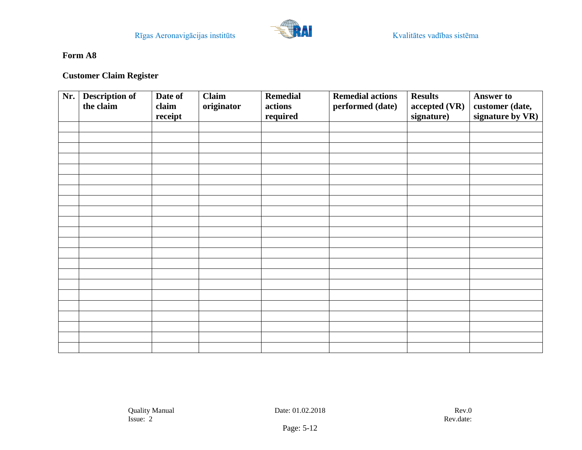

# **Customer Claim Register**

| Nr. | <b>Description of</b><br>the claim | Date of<br>claim<br>receipt | <b>Claim</b><br>originator | <b>Remedial</b><br>actions<br>required | <b>Remedial actions</b><br>performed (date) | <b>Results</b><br>accepted (VR)<br>signature) | <b>Answer to</b><br>customer (date,<br>signature by VR) |
|-----|------------------------------------|-----------------------------|----------------------------|----------------------------------------|---------------------------------------------|-----------------------------------------------|---------------------------------------------------------|
|     |                                    |                             |                            |                                        |                                             |                                               |                                                         |
|     |                                    |                             |                            |                                        |                                             |                                               |                                                         |
|     |                                    |                             |                            |                                        |                                             |                                               |                                                         |
|     |                                    |                             |                            |                                        |                                             |                                               |                                                         |
|     |                                    |                             |                            |                                        |                                             |                                               |                                                         |
|     |                                    |                             |                            |                                        |                                             |                                               |                                                         |
|     |                                    |                             |                            |                                        |                                             |                                               |                                                         |
|     |                                    |                             |                            |                                        |                                             |                                               |                                                         |
|     |                                    |                             |                            |                                        |                                             |                                               |                                                         |
|     |                                    |                             |                            |                                        |                                             |                                               |                                                         |
|     |                                    |                             |                            |                                        |                                             |                                               |                                                         |
|     |                                    |                             |                            |                                        |                                             |                                               |                                                         |
|     |                                    |                             |                            |                                        |                                             |                                               |                                                         |
|     |                                    |                             |                            |                                        |                                             |                                               |                                                         |
|     |                                    |                             |                            |                                        |                                             |                                               |                                                         |
|     |                                    |                             |                            |                                        |                                             |                                               |                                                         |
|     |                                    |                             |                            |                                        |                                             |                                               |                                                         |
|     |                                    |                             |                            |                                        |                                             |                                               |                                                         |
|     |                                    |                             |                            |                                        |                                             |                                               |                                                         |
|     |                                    |                             |                            |                                        |                                             |                                               |                                                         |
|     |                                    |                             |                            |                                        |                                             |                                               |                                                         |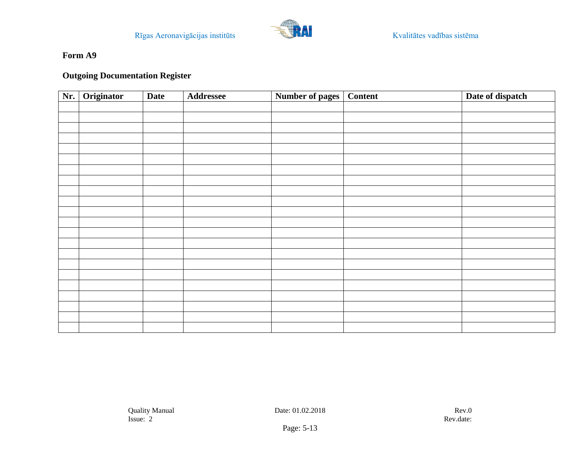

## **Outgoing Documentation Register**

| Nr. | Originator | <b>Date</b> | <b>Addressee</b> | Number of pages   Content | Date of dispatch |
|-----|------------|-------------|------------------|---------------------------|------------------|
|     |            |             |                  |                           |                  |
|     |            |             |                  |                           |                  |
|     |            |             |                  |                           |                  |
|     |            |             |                  |                           |                  |
|     |            |             |                  |                           |                  |
|     |            |             |                  |                           |                  |
|     |            |             |                  |                           |                  |
|     |            |             |                  |                           |                  |
|     |            |             |                  |                           |                  |
|     |            |             |                  |                           |                  |
|     |            |             |                  |                           |                  |
|     |            |             |                  |                           |                  |
|     |            |             |                  |                           |                  |
|     |            |             |                  |                           |                  |
|     |            |             |                  |                           |                  |
|     |            |             |                  |                           |                  |
|     |            |             |                  |                           |                  |
|     |            |             |                  |                           |                  |
|     |            |             |                  |                           |                  |
|     |            |             |                  |                           |                  |
|     |            |             |                  |                           |                  |
|     |            |             |                  |                           |                  |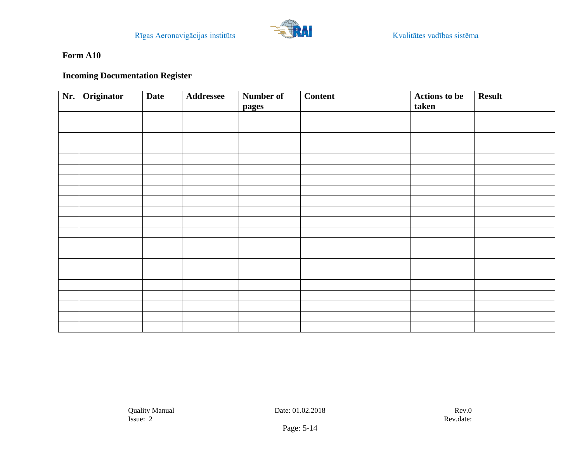

# **Incoming Documentation Register**

| Nr. | Originator | <b>Date</b> | <b>Addressee</b> | Number of | <b>Content</b> | <b>Actions</b> to be<br>taken | <b>Result</b> |
|-----|------------|-------------|------------------|-----------|----------------|-------------------------------|---------------|
|     |            |             |                  | pages     |                |                               |               |
|     |            |             |                  |           |                |                               |               |
|     |            |             |                  |           |                |                               |               |
|     |            |             |                  |           |                |                               |               |
|     |            |             |                  |           |                |                               |               |
|     |            |             |                  |           |                |                               |               |
|     |            |             |                  |           |                |                               |               |
|     |            |             |                  |           |                |                               |               |
|     |            |             |                  |           |                |                               |               |
|     |            |             |                  |           |                |                               |               |
|     |            |             |                  |           |                |                               |               |
|     |            |             |                  |           |                |                               |               |
|     |            |             |                  |           |                |                               |               |
|     |            |             |                  |           |                |                               |               |
|     |            |             |                  |           |                |                               |               |
|     |            |             |                  |           |                |                               |               |
|     |            |             |                  |           |                |                               |               |
|     |            |             |                  |           |                |                               |               |
|     |            |             |                  |           |                |                               |               |
|     |            |             |                  |           |                |                               |               |
|     |            |             |                  |           |                |                               |               |
|     |            |             |                  |           |                |                               |               |